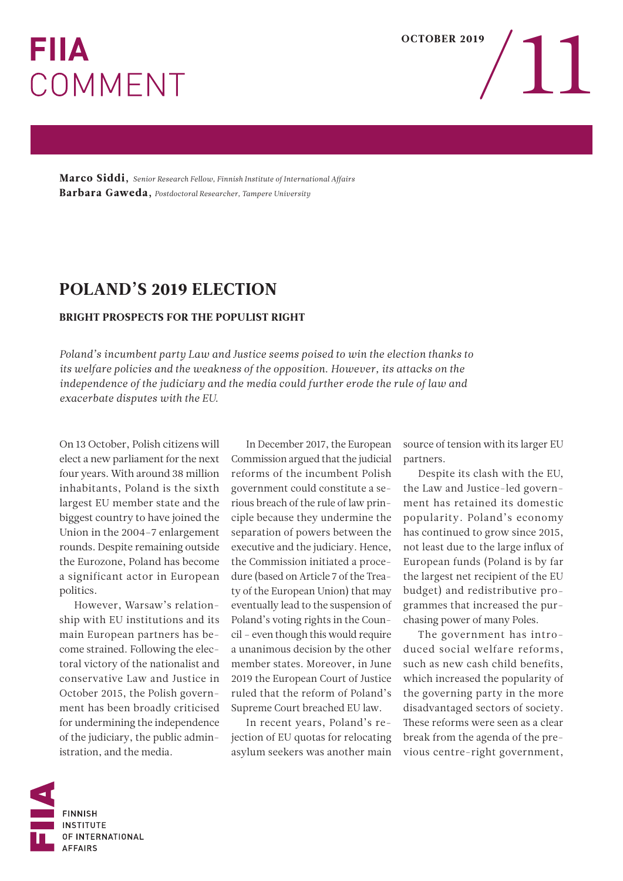## **FIIA** COMMENT

Marco Siddi, *Senior Research Fellow, Finnish Institute of International Affairs* Barbara Gaweda, *Postdoctoral Researcher, Tampere University* 

## POLAND'S 2019 ELECTION

## BRIGHT PROSPECTS FOR THE POPULIST RIGHT

*Poland's incumbent party Law and Justice seems poised to win the election thanks to its welfare policies and the weakness of the opposition. However, its attacks on the independence of the judiciary and the media could further erode the rule of law and exacerbate disputes with the EU.* 

On 13 October, Polish citizens will elect a new parliament for the next four years. With around 38 million inhabitants, Poland is the sixth largest EU member state and the biggest country to have joined the Union in the 2004–7 enlargement rounds. Despite remaining outside the Eurozone, Poland has become a significant actor in European politics.

However, Warsaw's relationship with EU institutions and its main European partners has become strained. Following the electoral victory of the nationalist and conservative Law and Justice in October 2015, the Polish government has been broadly criticised for undermining the independence of the judiciary, the public administration, and the media.

In December 2017, the European Commission argued that the judicial reforms of the incumbent Polish government could constitute a serious breach of the rule of law principle because they undermine the separation of powers between the executive and the judiciary. Hence, the Commission initiated a procedure (based on Article 7 of the Treaty of the European Union) that may eventually lead to the suspension of Poland's voting rights in the Council – even though this would require a unanimous decision by the other member states. Moreover, in June 2019 the European Court of Justice ruled that the reform of Poland's Supreme Court breached EU law.

In recent years, Poland's rejection of EU quotas for relocating asylum seekers was another main source of tension with its larger EU partners.

Despite its clash with the EU, the Law and Justice-led government has retained its domestic popularity. Poland's economy has continued to grow since 2015, not least due to the large influx of European funds (Poland is by far the largest net recipient of the EU budget) and redistributive programmes that increased the purchasing power of many Poles.

The government has introduced social welfare reforms, such as new cash child benefits, which increased the popularity of the governing party in the more disadvantaged sectors of society. These reforms were seen as a clear break from the agenda of the previous centre-right government,